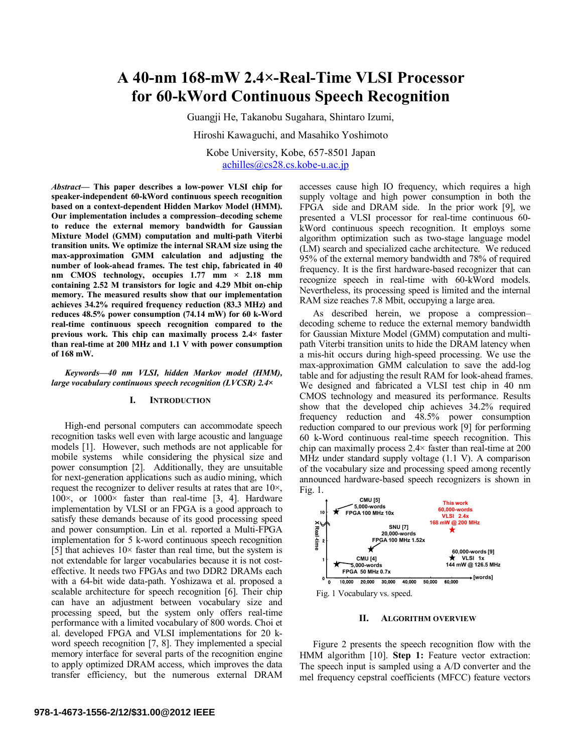# **A 40-nm 168-mW 2.4×-Real-Time VLSI Processor for 60-kWord Continuous Speech Recognition**

Guangji He, Takanobu Sugahara, Shintaro Izumi,

Hiroshi Kawaguchi, and Masahiko Yoshimoto

Kobe University, Kobe, 657-8501 Japan [achilles@cs28.cs.kobe-u.ac.jp](mailto:achilles@cs28.cs.kobe-u.ac.jp)

*Abstract***— This paper describes a low-power VLSI chip for speaker-independent 60-kWord continuous speech recognition based on a context-dependent Hidden Markov Model (HMM). Our implementation includes a compression–decoding scheme to reduce the external memory bandwidth for Gaussian Mixture Model (GMM) computation and multi-path Viterbi transition units. We optimize the internal SRAM size using the max-approximation GMM calculation and adjusting the number of look-ahead frames. The test chip, fabricated in 40 nm CMOS technology, occupies 1.77 mm × 2.18 mm containing 2.52 M transistors for logic and 4.29 Mbit on-chip memory. The measured results show that our implementation achieves 34.2% required frequency reduction (83.3 MHz) and reduces 48.5% power consumption (74.14 mW) for 60 k-Word real-time continuous speech recognition compared to the previous work. This chip can maximally process 2.4× faster than real-time at 200 MHz and 1.1 V with power consumption of 168 mW.**

## *Keywords—40 nm VLSI, hidden Markov model (HMM), large vocabulary continuous speech recognition (LVCSR) 2.4×*

## **I. INTRODUCTION**

High-end personal computers can accommodate speech recognition tasks well even with large acoustic and language models [1]. However, such methods are not applicable for mobile systems while considering the physical size and power consumption [2]. Additionally, they are unsuitable for next-generation applications such as audio mining, which request the recognizer to deliver results at rates that are 10×,  $100\times$ , or  $1000\times$  faster than real-time [3, 4]. Hardware implementation by VLSI or an FPGA is a good approach to satisfy these demands because of its good processing speed and power consumption. Lin et al. reported a Multi-FPGA implementation for 5 k-word continuous speech recognition [5] that achieves  $10\times$  faster than real time, but the system is not extendable for larger vocabularies because it is not costeffective. It needs two FPGAs and two DDR2 DRAMs each with a 64-bit wide data-path. Yoshizawa et al. proposed a scalable architecture for speech recognition [6]. Their chip can have an adjustment between vocabulary size and processing speed, but the system only offers real-time performance with a limited vocabulary of 800 words. Choi et al. developed FPGA and VLSI implementations for 20 kword speech recognition [7, 8]. They implemented a special memory interface for several parts of the recognition engine to apply optimized DRAM access, which improves the data transfer efficiency, but the numerous external DRAM

accesses cause high IO frequency, which requires a high supply voltage and high power consumption in both the FPGA side and DRAM side. In the prior work [9], we presented a VLSI processor for real-time continuous 60 kWord continuous speech recognition. It employs some algorithm optimization such as two-stage language model (LM) search and specialized cache architecture. We reduced 95% of the external memory bandwidth and 78% of required frequency. It is the first hardware-based recognizer that can recognize speech in real-time with 60-kWord models. Nevertheless, its processing speed is limited and the internal RAM size reaches 7.8 Mbit, occupying a large area.

As described herein, we propose a compression– decoding scheme to reduce the external memory bandwidth for Gaussian Mixture Model (GMM) computation and multipath Viterbi transition units to hide the DRAM latency when a mis-hit occurs during high-speed processing. We use the max-approximation GMM calculation to save the add-log table and for adjusting the result RAM for look-ahead frames. We designed and fabricated a VLSI test chip in 40 nm CMOS technology and measured its performance. Results show that the developed chip achieves 34.2% required frequency reduction and 48.5% power consumption reduction compared to our previous work [9] for performing 60 k-Word continuous real-time speech recognition. This chip can maximally process 2.4× faster than real-time at 200 MHz under standard supply voltage (1.1 V). A comparison of the vocabulary size and processing speed among recently announced hardware-based speech recognizers is shown in Fig. 1.



#### **II. ALGORITHM OVERVIEW**

Figure 2 presents the speech recognition flow with the HMM algorithm [10]. **Step 1:** Feature vector extraction: The speech input is sampled using a A/D converter and the mel frequency cepstral coefficients (MFCC) feature vectors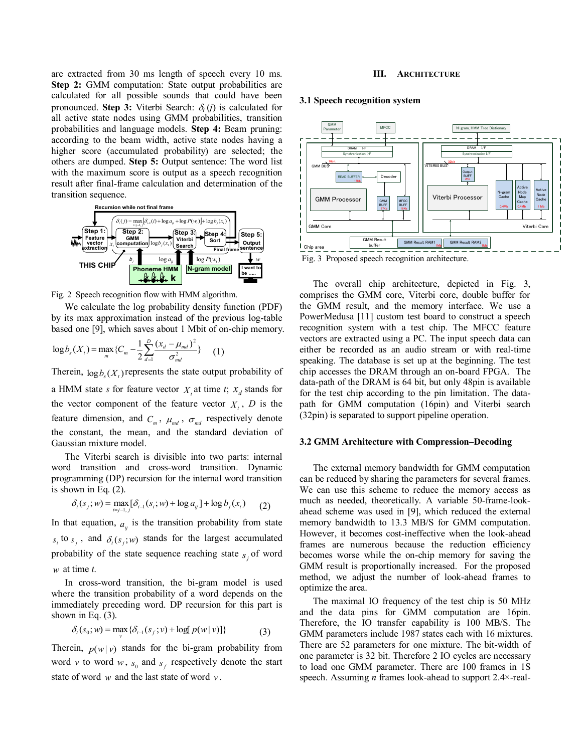are extracted from 30 ms length of speech every 10 ms. **Step 2:** GMM computation: State output probabilities are calculated for all possible sounds that could have been pronounced. **Step 3:** Viterbi Search:  $\delta_i(i)$  is calculated for all active state nodes using GMM probabilities, transition probabilities and language models. **Step 4:** Beam pruning: according to the beam width, active state nodes having a higher score (accumulated probability) are selected; the others are dumped. **Step 5:** Output sentence: The word list with the maximum score is output as a speech recognition result after final-frame calculation and determination of the transition sequence.



Fig. 2 Speech recognition flow with HMM algorithm.

We calculate the log probability density function (PDF) by its max approximation instead of the previous log-table based one [9], which saves about 1 Mbit of on-chip memory.

$$
\log b_{s}(X_{t}) = \max_{m} \{C_{m} - \frac{1}{2} \sum_{d=1}^{D} \frac{(x_{d} - \mu_{md})^{2}}{\sigma_{md}^{2}}\}
$$
 (1)

Therein,  $\log b_s(X_t)$  represents the state output probability of

a HMM state *s* for feature vector  $X_t$  at time *t*;  $X_d$  stands for the vector component of the feature vector  $X_t$ ,  $D$  is the feature dimension, and  $C_m$ ,  $\mu_{md}$ ,  $\sigma_{md}$  respectively denote the constant, the mean, and the standard deviation of Gaussian mixture model.

The Viterbi search is divisible into two parts: internal word transition and cross-word transition. Dynamic programming (DP) recursion for the internal word transition is shown in Eq. (2).

$$
\delta_t(s_j; w) = \max_{i=j-1, j} [\delta_{t-1}(s_i; w) + \log a_{ij}] + \log b_j(x_t) \qquad (2)
$$

In that equation,  $a_{ij}$  is the transition probability from state  $s_i$  to  $s_j$ , and  $\delta_i(s_j; w)$  stands for the largest accumulated probability of the state sequence reaching state  $s_j$  of word *w* at time *t*.

In cross-word transition, the bi-gram model is used where the transition probability of a word depends on the immediately preceding word. DP recursion for this part is shown in Eq. (3).

$$
\delta_{t}(s_{0}; w) = \max_{v} \{ \delta_{t-1}(s_{f}; v) + \log[p(w | v)] \}
$$
 (3)

Therein,  $p(w|v)$  stands for the bi-gram probability from word  $v$  to word  $w$ ,  $s_0$  and  $s_f$  respectively denote the start state of word  $w$  and the last state of word  $v$ .

#### **III. ARCHITECTURE**

# **3.1 Speech recognition system**



Fig. 3 Proposed speech recognition architecture.

The overall chip architecture, depicted in Fig. 3, comprises the GMM core, Viterbi core, double buffer for the GMM result, and the memory interface. We use a PowerMedusa [11] custom test board to construct a speech recognition system with a test chip. The MFCC feature vectors are extracted using a PC. The input speech data can either be recorded as an audio stream or with real-time speaking. The database is set up at the beginning. The test chip accesses the DRAM through an on-board FPGA. The data-path of the DRAM is 64 bit, but only 48pin is available for the test chip according to the pin limitation. The datapath for GMM computation (16pin) and Viterbi search (32pin) is separated to support pipeline operation.

# **3.2 GMM Architecture with Compression–Decoding**

The external memory bandwidth for GMM computation can be reduced by sharing the parameters for several frames. We can use this scheme to reduce the memory access as much as needed, theoretically. A variable 50-frame-lookahead scheme was used in [9], which reduced the external memory bandwidth to 13.3 MB/S for GMM computation. However, it becomes cost-ineffective when the look-ahead frames are numerous because the reduction efficiency becomes worse while the on-chip memory for saving the GMM result is proportionally increased. For the proposed method, we adjust the number of look-ahead frames to optimize the area.

The maximal IO frequency of the test chip is 50 MHz and the data pins for GMM computation are 16pin. Therefore, the IO transfer capability is 100 MB/S. The GMM parameters include 1987 states each with 16 mixtures. There are 52 parameters for one mixture. The bit-width of one parameter is 32 bit. Therefore 2 IO cycles are necessary to load one GMM parameter. There are 100 frames in 1S speech. Assuming *n* frames look-ahead to support 2.4×-real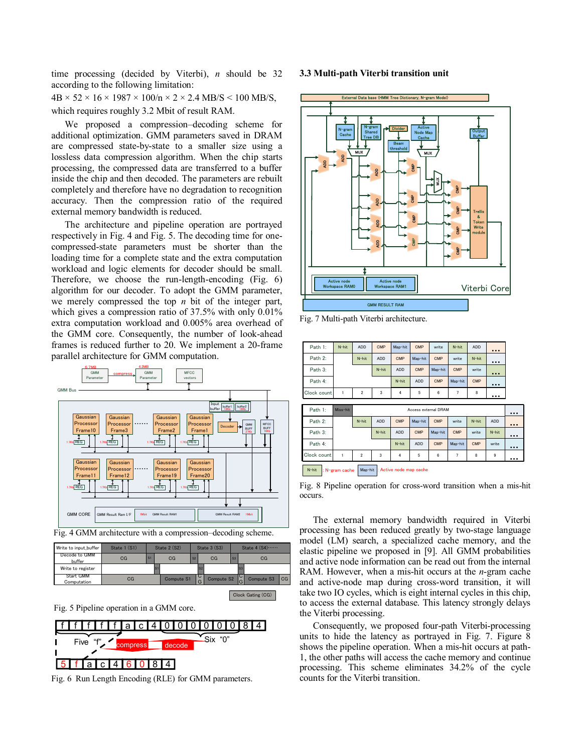time processing (decided by Viterbi), *n* should be 32 according to the following limitation:

 $4B \times 52 \times 16 \times 1987 \times 100/n \times 2 \times 2.4$  MB/S < 100 MB/S, which requires roughly 3.2 Mbit of result RAM.

We proposed a compression–decoding scheme for additional optimization. GMM parameters saved in DRAM are compressed state-by-state to a smaller size using a lossless data compression algorithm. When the chip starts processing, the compressed data are transferred to a buffer inside the chip and then decoded. The parameters are rebuilt completely and therefore have no degradation to recognition accuracy. Then the compression ratio of the required external memory bandwidth is reduced.

The architecture and pipeline operation are portrayed respectively in Fig. 4 and Fig. 5. The decoding time for onecompressed-state parameters must be shorter than the loading time for a complete state and the extra computation workload and logic elements for decoder should be small. Therefore, we choose the run-length-encoding (Fig. 6) algorithm for our decoder. To adopt the GMM parameter, we merely compressed the top *n* bit of the integer part, which gives a compression ratio of 37.5% with only 0.01% extra computation workload and 0.005% area overhead of the GMM core. Consequently, the number of look-ahead frames is reduced further to 20. We implement a 20-frame parallel architecture for GMM computation.





| Write to input_buffer           | State 1 (S1) |    | State 2 (S2) |                   | State 3 (S3) |                | State 4 (S4)                 |    |  |
|---------------------------------|--------------|----|--------------|-------------------|--------------|----------------|------------------------------|----|--|
| Decode to GMM<br>buffer         | CG           | S1 | CG           | S <sub>2</sub>    | CG           | S <sub>3</sub> | CG                           |    |  |
| Write to register               |              | ls |              | S.                |              |                |                              |    |  |
| <b>Start GMM</b><br>Computation | CG           |    | Compute S1   | $\mathsf{C}$<br>G | Compute S2   |                | Compute S3<br>$\overline{G}$ | CG |  |
|                                 |              |    |              |                   |              |                | Clock Gating (CG)            |    |  |

Fig. 5 Pipeline operation in a GMM core.



Fig. 6 Run Length Encoding (RLE) for GMM parameters.

# **3.3 Multi-path Viterbi transition unit**



Fig. 7 Multi-path Viterbi architecture.

| Path 1:                                                    | N-hit    | <b>ADD</b>     | <b>CMP</b>           | Map-hit        | CMP        | write      | N-hit      | <b>ADD</b> |            |       |  |
|------------------------------------------------------------|----------|----------------|----------------------|----------------|------------|------------|------------|------------|------------|-------|--|
| Path 2:                                                    |          | N-hit          | <b>ADD</b>           | CMP            | Map-hit    | <b>CMP</b> | write      | N-hit      | .          |       |  |
| Path 3:                                                    |          |                | N-hit                | <b>ADD</b>     | <b>CMP</b> | Map-hit    | <b>CMP</b> | write      |            |       |  |
| Path 4:                                                    |          |                |                      | N-hit          | <b>ADD</b> | <b>CMP</b> | Map-hit    | CMP        |            |       |  |
| Clock count                                                | 1        | $\overline{2}$ | 3                    | $\overline{4}$ | 5          | 6          | 7          | 8          |            |       |  |
|                                                            |          |                |                      |                |            |            |            |            |            |       |  |
| Path 1:                                                    | Miss-hit |                | Access external DRAM |                |            |            |            |            |            |       |  |
| Path 2:                                                    |          | N-hit          | <b>ADD</b>           | CMP            | Map-hit    | CMP        | write      | N-hit      | <b>ADD</b> |       |  |
| Path 3:                                                    |          |                | N-hit                | <b>ADD</b>     | <b>CMP</b> | Map-hit    | <b>CMP</b> | write      | N-hit      |       |  |
| Path 4:                                                    |          |                |                      | N-hit          | <b>ADD</b> | CMP        | Map-hit    | <b>CMP</b> | write      | 1.1.1 |  |
| Clock count                                                | 1        | $\overline{2}$ | 3                    | 4              | 5          | 6          | 7          | 8          | 9          |       |  |
| Map-hit : Active node map cache<br>N-hit<br>: N-gram cache |          |                |                      |                |            |            |            |            |            |       |  |

Fig. 8 Pipeline operation for cross-word transition when a mis-hit occurs.

The external memory bandwidth required in Viterbi processing has been reduced greatly by two-stage language model (LM) search, a specialized cache memory, and the elastic pipeline we proposed in [9]. All GMM probabilities and active node information can be read out from the internal RAM. However, when a mis-hit occurs at the *n*-gram cache and active-node map during cross-word transition, it will take two IO cycles, which is eight internal cycles in this chip, to access the external database. This latency strongly delays the Viterbi processing.

Consequently, we proposed four-path Viterbi-processing units to hide the latency as portrayed in Fig. 7. Figure 8 shows the pipeline operation. When a mis-hit occurs at path-1, the other paths will access the cache memory and continue processing. This scheme eliminates 34.2% of the cycle counts for the Viterbi transition.